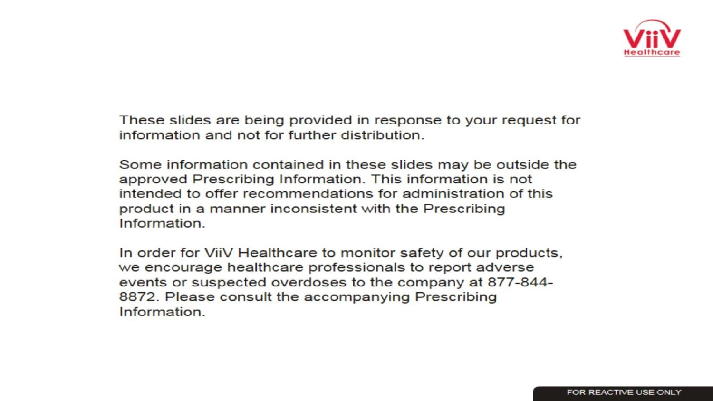

These slides are being provided in response to your request for information and not for further distribution.

Some information contained in these slides may be outside the approved Prescribing Information. This information is not intended to offer recommendations for administration of this product in a manner inconsistent with the Prescribing Information

In order for ViiV Healthcare to monitor safety of our products, we encourage healthcare professionals to report adverse events or suspected overdoses to the company at 877-844-8872. Please consult the accompanying Prescribing Information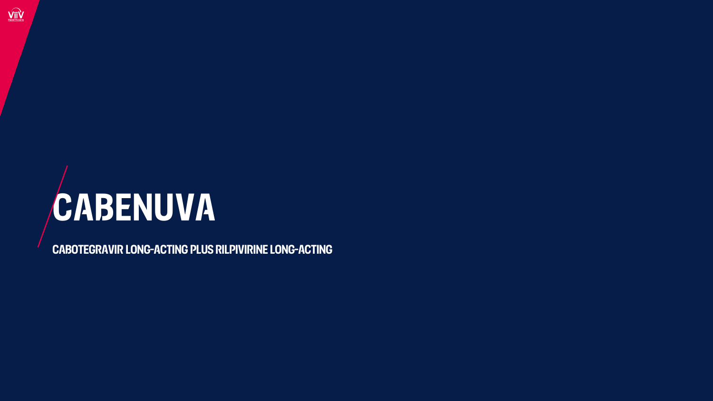

 $\widehat{\text{V}}$ ii $\widehat{\text{V}}$ 

**cabotegravir long-acting plus rilpivirine long-acting**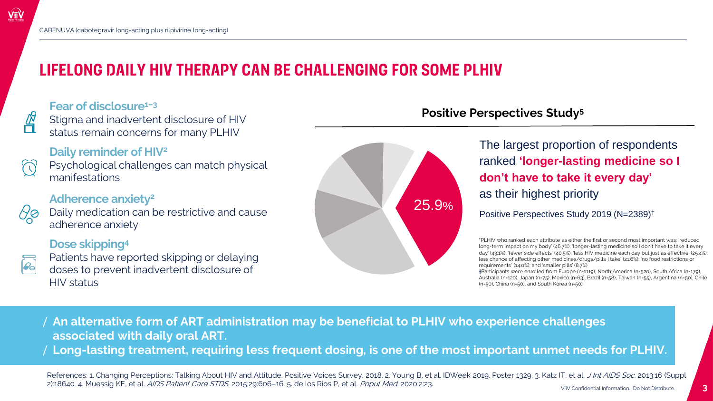## **Lifelong Daily HiV Therapy can be Challenging for Some PLHiV**

#### **Fear of disclosure<sup>1</sup>–<sup>3</sup>**



 $\mathcal{L}_{\Theta}$ 

Stigma and inadvertent disclosure of HIV status remain concerns for many PLHIV

#### **Daily reminder of HIV<sup>2</sup>**

Psychological challenges can match physical manifestations

#### **Adherence anxiety<sup>2</sup>**

Daily medication can be restrictive and cause adherence anxiety

#### **Dose skipping<sup>4</sup>**

Patients have reported skipping or delaying doses to prevent inadvertent disclosure of HIV status



#### **Positive Perspectives Study<sup>5</sup>**

The largest proportion of respondents ranked **'longer-lasting medicine so I don't have to take it every day'** as their highest priority

Positive Perspectives Study 2019 (N=2389)†

**\***PLHIV who ranked each attribute as either the first or second most important was: 'reduced long-term impact on my body' (46.7%); 'longer-lasting medicine so I don't have to take it every day' (43.1%); 'fewer side effects' (40.5%); 'less HIV medicine each day but just as effective' (25.4%); less chance of affecting other medicines/drugs/pills I take' (21.6%); 'no food restrictions or requirements' (14.0%); and 'smaller pills' (8.7%)

**†**Participants were enrolled from Europe (n=1119), North America (n=520), South Africa (n=179), Australia (n=120), Japan (n=75), Mexico (n=63), Brazil (n=58), Taiwan (n=55), Argentina (n=50), Chile (n=50), China (n=50), and South Korea (n=50)

/ **An alternative form of ART administration may be beneficial to PLHIV who experience challenges associated with daily oral ART.**

/ **Long-lasting treatment, requiring less frequent dosing, is one of the most important unmet needs for PLHIV.**

ViiV Confidential Information. Do Not Distribute. References: 1. Changing Perceptions: Talking About HIV and Attitude. Positive Voices Survey, 2018. 2. Young B, et al. IDWeek 2019. Poster 1329. 3. Katz IT, et al. J Int AIDS Soc. 2013;16 (Suppl 2):18640. 4. Muessig KE, et al. AIDS Patient Care STDS. 2015;29:606–16. 5. de los Rios P, et al. Popul Med. 2020;2:23.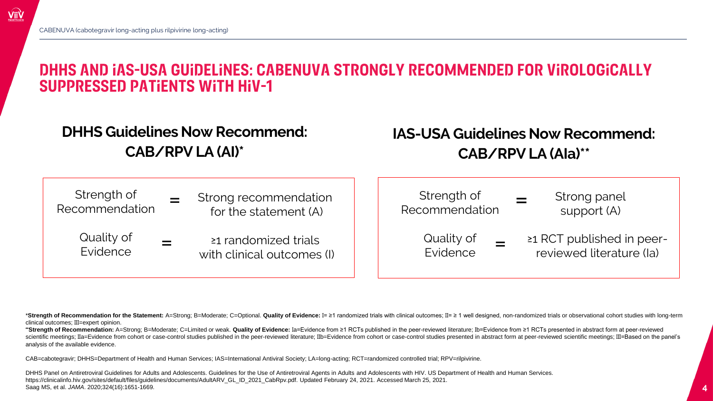ViiV

### **DHHS AND IAS-USA GUIDELINES: CABENUVA STRONGLY RECOMMENDED FOR VIROLOGICALLY SUPPRESSED PATIENTS WITH HIV-1**

# **DHHS Guidelines Now Recommend: CAB/RPV LA (AI)\***

### **IAS-USA Guidelines Now Recommend: CAB/RPV LA (AIa)\*\***

| Strength of<br>Recommendation | Strong recommendation<br>for the statement (A)     | Strength of<br>Strong panel<br>$\equiv$<br>Recommendation<br>support (A)        |
|-------------------------------|----------------------------------------------------|---------------------------------------------------------------------------------|
| Quality of<br>$=$<br>Evidence | ≥1 randomized trials<br>with clinical outcomes (I) | ≥1 RCT published in peer-<br>Quality of<br>reviewed literature (la)<br>Evidence |

\*Strength of Recommendation for the Statement: A=Strong; B=Moderate; C=Optional. Quality of Evidence: I= ≥1 randomized trials with clinical outcomes; II= ≥1 well designed, non-randomized trials or observational cohort stud clinical outcomes; III=expert opinion.

"Strength of Recommendation: A=Strong: B=Moderate: C=Limited or weak. Quality of Evidence: Ia=Evidence from ≥1 RCTs published in the peer-reviewed literature: Ib=Evidence from ≥1 RCTs presented in abstract form at peer-re scientific meetings; IIa=Evidence from cohort or case-control studies published in the peer-reviewed literature; IIb=Evidence from cohort or case-control studies presented in abstract form at peer-reviewed scientific meeti analysis of the available evidence.

CAB=cabotegravir; DHHS=Department of Health and Human Services; IAS=International Antiviral Society; LA=long-acting; RCT=randomized controlled trial; RPV=rilpivirine.

DHHS Panel on Antiretroviral Guidelines for Adults and Adolescents. Guidelines for the Use of Antiretroviral Agents in Adults and Adolescents with HIV. US Department of Health and Human Services. https://clinicalinfo.hiv.gov/sites/default/files/guidelines/documents/AdultARV\_GL\_ID\_2021\_CabRpv.pdf. Updated February 24, 2021. Accessed March 25, 2021. Saag MS, et al. *JAMA*. 2020;324(16):1651-1669.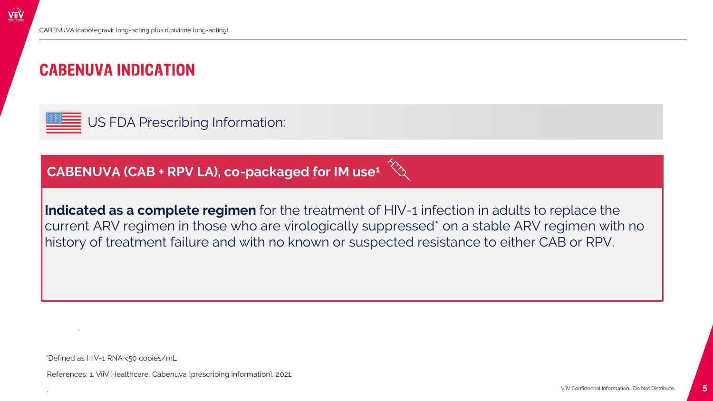#### **CABENUVA indication**

US FDA Prescribing Information:

**CABENUVA (CAB + RPV LA), co-packaged for IM use<sup>1</sup>**

**Indicated as a complete regimen** for the treatment of HIV-1 infection in adults to replace the current ARV regimen in those who are virologically suppressed\* on a stable ARV regimen with no history of treatment failure and with no known or suspected resistance to either CAB or RPV.

\*Defined as HIV-1 RNA <50 copies/mL

.

.

References: 1. ViiV Healthcare. Cabenuva [prescribing information]. 2021.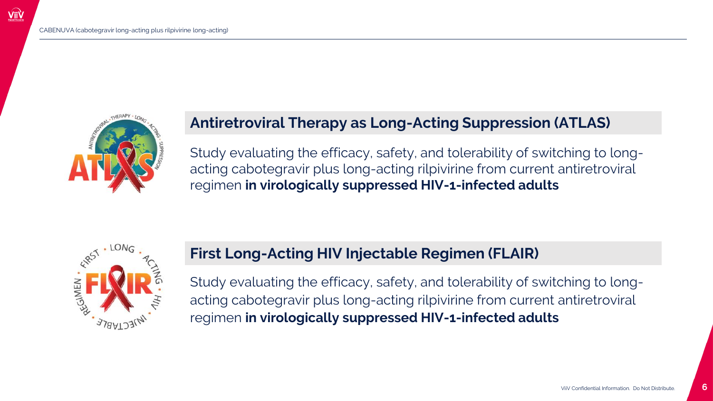$\widehat{\text{V}}$ ii $\widehat{\text{V}}$ 



### **Antiretroviral Therapy as Long-Acting Suppression (ATLAS)**

Study evaluating the efficacy, safety, and tolerability of switching to longacting cabotegravir plus long-acting rilpivirine from current antiretroviral regimen **in virologically suppressed HIV-1-infected adults**



#### **First Long-Acting HIV Injectable Regimen (FLAIR)**

Study evaluating the efficacy, safety, and tolerability of switching to longacting cabotegravir plus long-acting rilpivirine from current antiretroviral regimen **in virologically suppressed HIV-1-infected adults**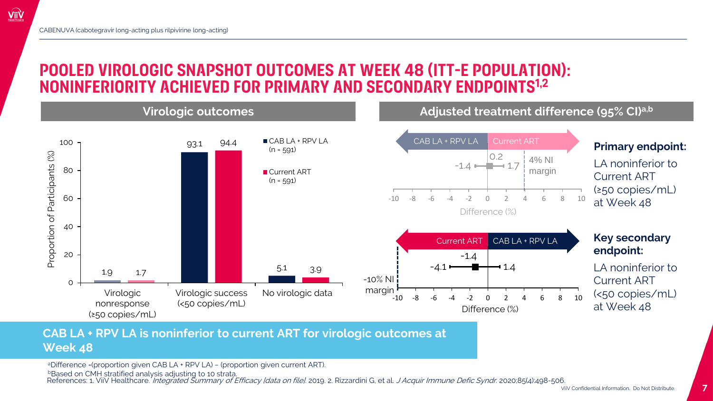$\widehat{\text{V}}$ ii $\widehat{\text{V}}$ 

### **Pooled Virologic Snapshot Outcomes at Week 48 (iTT-E Population): Noninferiority Achieved for Primary and Secondary Endpoints1,2**



#### **CAB LA + RPV LA is noninferior to current ART for virologic outcomes at Week 48**

<sup>a</sup>Difference =(proportion given CAB LA + RPV LA) − (proportion given current ART).

<sup>b</sup>Based on CMH stratified analysis adjusting to 10 strata.

References: 1. ViiV Healthcare. *Integrated Summary of Efficacy [data on file].* 2019. 2. Rizzardini G, et al. *J Acquir Immune Defic Syndr.* 2020;85(4):498-506.

ViiV Confidential Information. Do Not Distribute.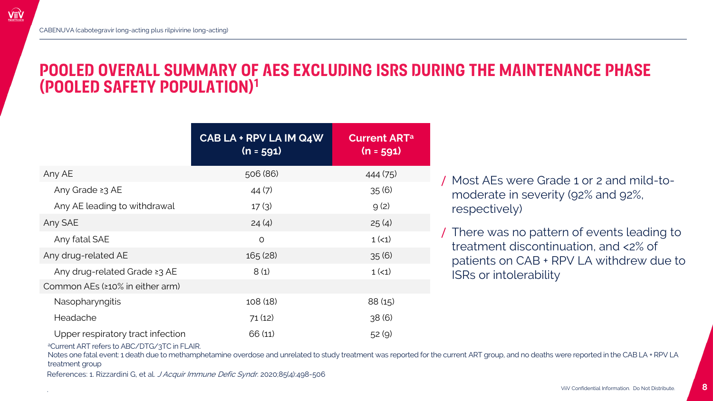## **Pooled Overall Summary of AEs Excluding iSRs during the Maintenance Phase (Pooled Safety Population)<sup>1</sup>**

|                                   | CAB LA + RPV LA IM Q4W<br>$(n = 591)$ | <b>Current ART<sup>a</sup></b><br>$(n = 591)$ |  |
|-----------------------------------|---------------------------------------|-----------------------------------------------|--|
| Any AE                            | 506 (86)                              | 444 (75)                                      |  |
| Any Grade ≥3 AE                   | 44(7)                                 | 35(6)                                         |  |
| Any AE leading to withdrawal      | 17(3)                                 | 9(2)                                          |  |
| Any SAE                           | 24(4)                                 | 25(4)                                         |  |
| Any fatal SAE                     | $\circ$                               | 1(2)                                          |  |
| Any drug-related AE               | 165 (28)                              | 35(6)                                         |  |
| Any drug-related Grade ≥3 AE      | 8(1)                                  | 1(2)                                          |  |
| Common AEs (≥10% in either arm)   |                                       |                                               |  |
| Nasopharyngitis                   | 108 (18)                              | 88 (15)                                       |  |
| Headache                          | 71(12)                                | 38(6)                                         |  |
| Upper respiratory tract infection | 66(11)                                | 52(9)                                         |  |

/ Most AEs were Grade 1 or 2 and mild-tomoderate in severity (92% and 92%, respectively)

There was no pattern of events leading to treatment discontinuation, and <2% of patients on CAB + RPV LA withdrew due to ISRs or intolerability

aCurrent ART refers to ABC/DTG/3TC in FLAIR.

.

 $\widehat{\text{V}}$ ii $\widehat{\text{V}}$ 

Notes one fatal event: 1 death due to methamphetamine overdose and unrelated to study treatment was reported for the current ART group, and no deaths were reported in the CAB LA + RPV LA treatment group

References: 1. Rizzardini G, et al. J Acquir Immune Defic Syndr. 2020;85(4):498-506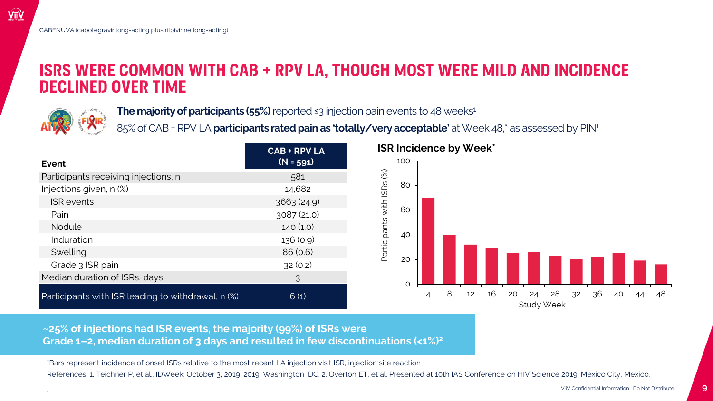## **iSRs were Common with CAB + RPV LA, though Most were Mild and incidence Declined over Time**



 $\widehat{\text{V}}$ ii $\widehat{\text{V}}$ 

.

**The majority of participants (55%)** reported ≤3 injection pain events to 48 weeks<sup>1</sup>

85% of CAB + RPV LA **participants rated pain as 'totally/very acceptable'** at Week 48,<sup>\*</sup> as assessed by PIN<sup>1</sup>



**~25% of injections had ISR events, the majority (99%) of ISRs were Grade 1–2, median duration of 3 days and resulted in few discontinuations (<1%)<sup>2</sup>**

\*Bars represent incidence of onset ISRs relative to the most recent LA injection visit ISR, injection site reaction

References: 1. Teichner P, et al.. IDWeek; October 3, 2019, 2019; Washington, DC. 2. Overton ET, et al. Presented at 10th IAS Conference on HIV Science 2019; Mexico City, Mexico.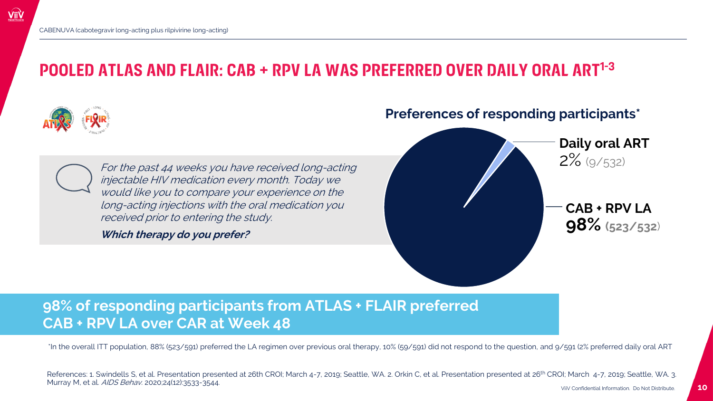# **Pooled ATLAS and FLAiR: CAB + RPV LA was Preferred over Daily Oral ART1-3**

![](_page_9_Picture_2.jpeg)

ViiV

For the past 44 weeks you have received long-acting injectable HIV medication every month. Today we would like you to compare your experience on the long-acting injections with the oral medication you received prior to entering the study.

**Which therapy do you prefer?**

**Preferences of responding participants\***

![](_page_9_Picture_6.jpeg)

### **98% of responding participants from ATLAS + FLAIR preferred CAB + RPV LA over CAR at Week 48**

\*In the overall ITT population, 88% (523/591) preferred the LA regimen over previous oral therapy, 10% (59/591) did not respond to the question, and 9/591 (2% preferred daily oral ART

References: 1. Swindells S, et al. Presentation presented at 26th CROI; March 4-7, 2019; Seattle, WA. 2. Orkin C, et al. Presentation presented at 26<sup>th</sup> CROI; March 4-7, 2019; Seattle, WA. 3. Murray M, et al. AIDS Behav. 2020;24(12):3533-3544.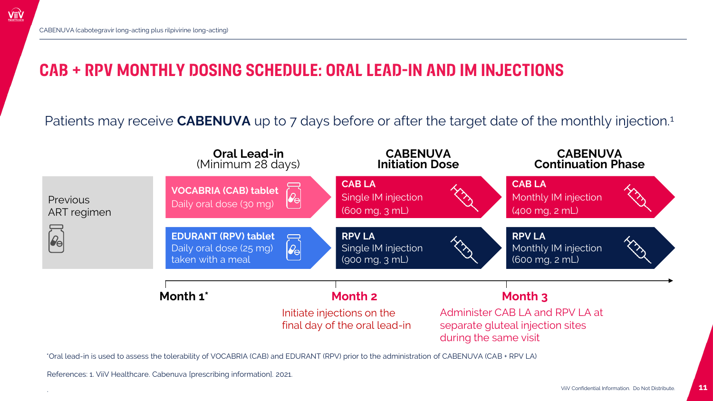.

# **CAB + RPV Monthly Dosing Schedule: Oral Lead-in and iM injections**

Patients may receive **CABENUVA** up to 7 days before or after the target date of the monthly injection.<sup>1</sup>

![](_page_10_Figure_4.jpeg)

\*Oral lead-in is used to assess the tolerability of VOCABRIA (CAB) and EDURANT (RPV) prior to the administration of CABENUVA (CAB + RPV LA)

References: 1. ViiV Healthcare. Cabenuva [prescribing information]. 2021.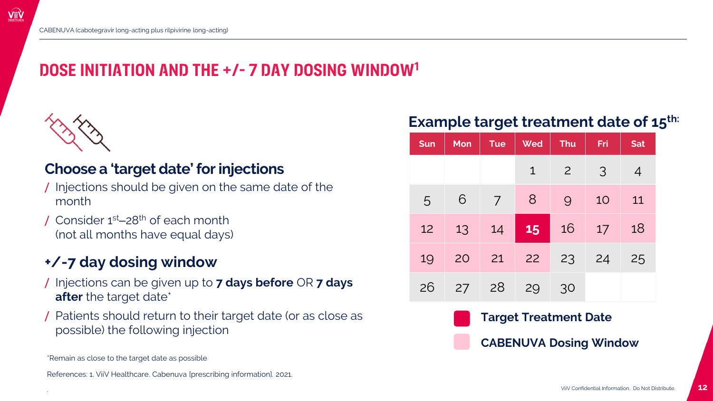# **Dose initiation and the +/- 7 Day Dosing Window<sup>1</sup>**

![](_page_11_Picture_3.jpeg)

.

#### **Choose a 'target date' for injections**

- / Injections should be given on the same date of the month
- $\prime$  Consider 1<sup>st</sup>–28<sup>th</sup> of each month (not all months have equal days)

### **+/-7 day dosing window**

- / Injections can be given up to **7 days before** OR **7 days**  after the target date\*
- Patients should return to their target date (or as close as possible) the following injection

References: 1. ViiV Healthcare. Cabenuva [prescribing information]. 2021.

#### **Example target treatment date of 15th:**

| <b>Sun</b> | <b>Mon</b>           | <b>Tue</b>       | Wed | <b>Thu</b>                                                      | Fri          | <b>Sat</b>     |
|------------|----------------------|------------------|-----|-----------------------------------------------------------------|--------------|----------------|
|            |                      |                  | 1   | $\begin{array}{ c c c c c } \hline 2 & 3 \\ \hline \end{array}$ |              | $\overline{4}$ |
| 5          | 6 7 8 9 10           |                  |     |                                                                 |              | 11             |
| 12         | 13                   | 14               |     | 15 16                                                           | $17 \mid 18$ |                |
|            | 19 20 21 22 23 24 25 |                  |     |                                                                 |              |                |
| 26         |                      | $27 \t 28 \t 29$ |     | 30                                                              |              |                |

**Target Treatment Date**

#### **CABENUVA Dosing Window**

<sup>\*</sup>Remain as close to the target date as possible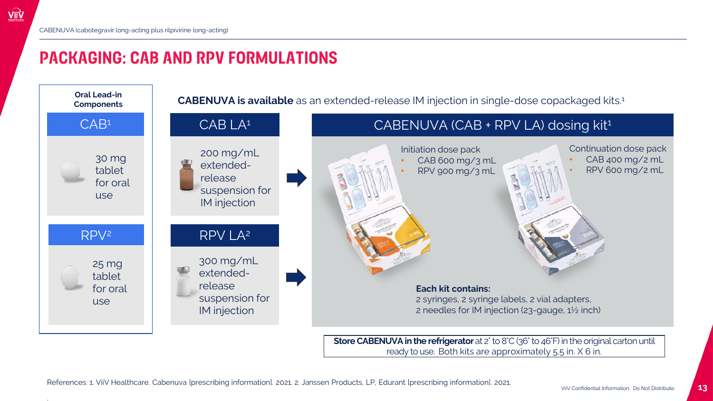.

# **Packaging: CAB and RPV Formulations**

![](_page_12_Figure_3.jpeg)

**Store CABENUVA in the refrigerator** at 2° to 8°C (36° to 46°F) in the original carton until ready to use. Both kits are approximately 5.5 in. X 6 in.